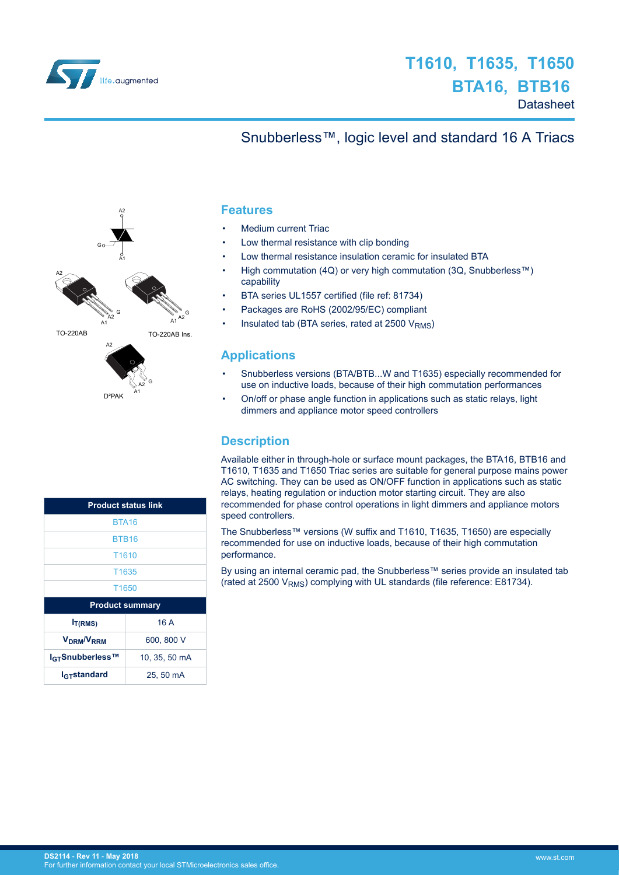<span id="page-0-0"></span>

## **T1610, T1635, T1650 BTA16, BTB16 Datasheet**

## Snubberless™, logic level and standard 16 A Triacs



| <b>Product status link</b>             |               |  |  |  |  |  |
|----------------------------------------|---------------|--|--|--|--|--|
| <b>BTA16</b>                           |               |  |  |  |  |  |
| <b>BTB16</b>                           |               |  |  |  |  |  |
| T <sub>1610</sub>                      |               |  |  |  |  |  |
| T1635                                  |               |  |  |  |  |  |
| T <sub>1650</sub>                      |               |  |  |  |  |  |
| <b>Product summary</b>                 |               |  |  |  |  |  |
| I <sub>T(RMS)</sub>                    | 16 A          |  |  |  |  |  |
| <b>V<sub>DRM</sub>/V<sub>RRM</sub></b> | 600, 800 V    |  |  |  |  |  |
| I <sub>GT</sub> Snubberless™           | 10, 35, 50 mA |  |  |  |  |  |
| <b>I<sub>GT</sub>standard</b>          | 25.50 mA      |  |  |  |  |  |

#### **Features**

- Medium current Triac
- Low thermal resistance with clip bonding
- Low thermal resistance insulation ceramic for insulated BTA
- High commutation (4Q) or very high commutation (3Q, Snubberless™) capability
- BTA series UL1557 certified (file ref: 81734)
- Packages are RoHS (2002/95/EC) compliant
- Insulated tab (BTA series, rated at 2500  $V<sub>RMS</sub>$ )

#### **Applications**

- Snubberless versions (BTA/BTB...W and T1635) especially recommended for use on inductive loads, because of their high commutation performances
- On/off or phase angle function in applications such as static relays, light dimmers and appliance motor speed controllers

#### **Description**

Available either in through-hole or surface mount packages, the BTA16, BTB16 and T1610, T1635 and T1650 Triac series are suitable for general purpose mains power AC switching. They can be used as ON/OFF function in applications such as static relays, heating regulation or induction motor starting circuit. They are also recommended for phase control operations in light dimmers and appliance motors speed controllers.

The Snubberless™ versions (W suffix and T1610, T1635, T1650) are especially recommended for use on inductive loads, because of their high commutation performance.

By using an internal ceramic pad, the Snubberless™ series provide an insulated tab (rated at 2500  $V<sub>RMS</sub>$ ) complying with UL standards (file reference: E81734).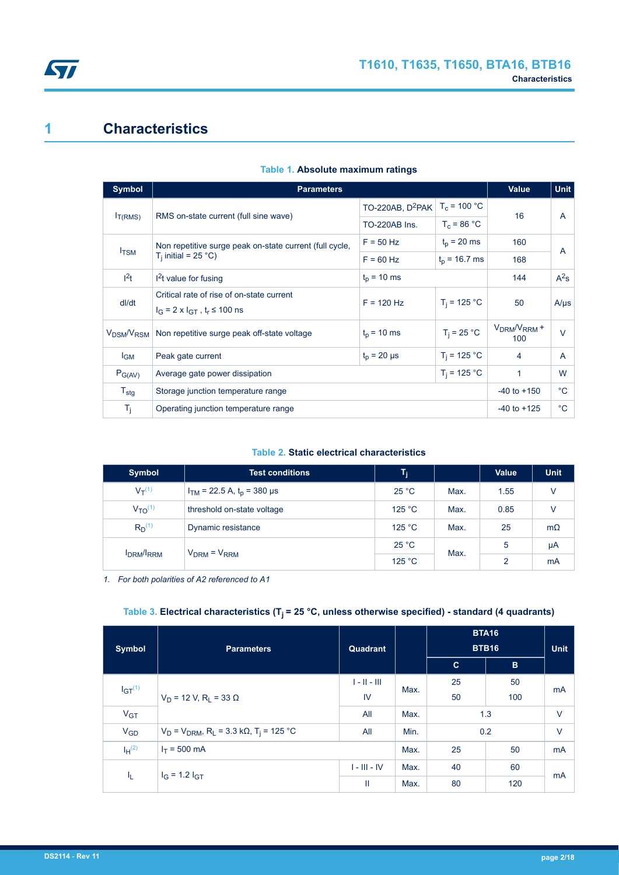

## **1 Characteristics**

| <b>Symbol</b>                      | <b>Parameters</b>                                                                       | <b>Value</b>                                 | <b>Unit</b>     |                      |                |
|------------------------------------|-----------------------------------------------------------------------------------------|----------------------------------------------|-----------------|----------------------|----------------|
|                                    |                                                                                         | TO-220AB, $D^2PAK$   T <sub>c</sub> = 100 °C |                 |                      |                |
| I <sub>T(RMS)</sub>                | RMS on-state current (full sine wave)                                                   | TO-220AB Ins.                                | $T_c = 86 °C$   | 16                   | $\overline{A}$ |
|                                    | Non repetitive surge peak on-state current (full cycle,                                 | $F = 50$ Hz                                  | $t_0$ = 20 ms   | 160                  | A              |
| $I_{TSM}$                          | $T_i$ initial = 25 °C)                                                                  | $F = 60$ Hz                                  | $t_n$ = 16.7 ms | 168                  |                |
| 1 <sup>2</sup> t                   | $12t$ value for fusing                                                                  | $t_0$ = 10 ms                                |                 |                      |                |
| dl/dt                              | Critical rate of rise of on-state current<br>$I_G = 2 \times I_{GT}$ , $t_r \le 100$ ns | $F = 120$ Hz                                 | $T_i = 125 °C$  | 50                   | $A/\mu s$      |
| V <sub>DSM</sub> /V <sub>RSM</sub> | Non repetitive surge peak off-state voltage                                             | $t_{p}$ = 10 ms                              | $T_i = 25 °C$   | $VDRM/VRRM$ +<br>100 | $\vee$         |
| $I_{GM}$                           | Peak gate current                                                                       | $T_i = 125 °C$                               | 4               | $\overline{A}$       |                |
| $P_{G(AV)}$                        | Average gate power dissipation                                                          | $\mathbf{1}$                                 | W               |                      |                |
| $T_{\text{stg}}$                   | Storage junction temperature range                                                      | $-40$ to $+150$                              | $^{\circ}$ C    |                      |                |
| T <sub>i</sub>                     | Operating junction temperature range                                                    | $-40$ to $+125$                              | $^{\circ}C$     |                      |                |

#### **Table 1. Absolute maximum ratings**

#### **Table 2. Static electrical characteristics**

| <b>Symbol</b>            | <b>Test conditions</b>            | T <sub>i</sub> |      | <b>Value</b>  | <b>Unit</b> |
|--------------------------|-----------------------------------|----------------|------|---------------|-------------|
| $V_T^{(1)}$              | $I_{TM}$ = 22.5 A, $t_p$ = 380 µs | $25^{\circ}$ C | Max. | 1.55          | V           |
| $V_{TO}^{(1)}$           | threshold on-state voltage        | 125 °C         | Max. | 0.85          | V           |
| $R_{D}^{(1)}$            | Dynamic resistance                | 125 °C         | Max. | 25            | $m\Omega$   |
| <b>IDRM</b> / <b>RRM</b> | $V_{DRM}$ = $V_{RRM}$             | 25 °C          | Max. | 5             | μA          |
|                          |                                   | 125 °C         |      | $\mathcal{P}$ | mA          |

*1. For both polarities of A2 referenced to A1*

### **Table 3. Electrical characteristics (Tj = 25 °C, unless otherwise specified) - standard (4 quadrants)**

| <b>Symbol</b>   | <b>Parameters</b>                                                    | Quadrant       |      | <b>BTA16</b><br><b>BTB16</b> |     | <b>Unit</b> |
|-----------------|----------------------------------------------------------------------|----------------|------|------------------------------|-----|-------------|
|                 |                                                                      |                |      | $\mathbf{C}$                 | B   |             |
| $IGT^{(1)}$     |                                                                      | $1 - 11 - 111$ | Max. | 25                           | 50  | mA          |
|                 | $V_D$ = 12 V, R <sub>L</sub> = 33 $\Omega$                           | IV             |      | 50                           | 100 |             |
| V <sub>GT</sub> |                                                                      | All            | Max. | 1.3                          |     | $\vee$      |
| $V_{GD}$        | $V_D$ = $V_{DRM}$ , R <sub>L</sub> = 3.3 kΩ, T <sub>j</sub> = 125 °C | All            | Min. | 0.2                          |     | $\vee$      |
| $I_H^{(2)}$     | $I_T = 500$ mA                                                       |                |      | 25                           | 50  | mA          |
| I <sub>L</sub>  | $I_G = 1.2 I_{GT}$                                                   | $I - III - IV$ | Max. | 40                           | 60  | mA          |
|                 |                                                                      | Ш              | Max. | 80                           | 120 |             |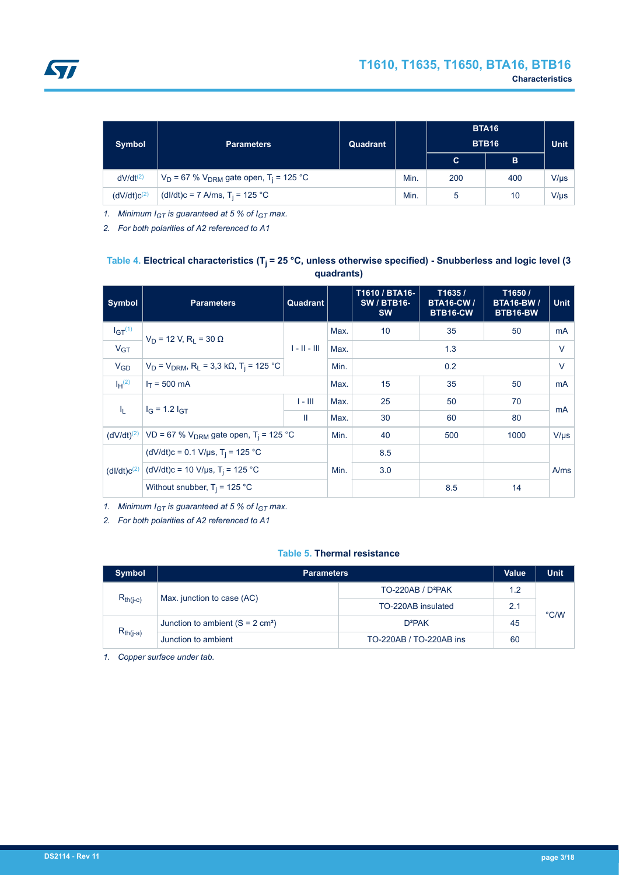<span id="page-2-0"></span>

| <b>Symbol</b>           | <b>Parameters</b>                                         | Quadrant |  | <b>BTA16</b><br><b>BTB16</b> |     | <b>Unit</b> |
|-------------------------|-----------------------------------------------------------|----------|--|------------------------------|-----|-------------|
|                         |                                                           |          |  | C.                           | B   |             |
| $dV/dt^{(2)}$           | $V_D$ = 67 % $V_{DRM}$ gate open, T <sub>i</sub> = 125 °C |          |  | 200                          | 400 | $V/\mu s$   |
| (dV/dt)c <sup>(2)</sup> | (dl/dt)c = 7 A/ms, T <sub>i</sub> = 125 °C                |          |  | 5                            | 10  | $V/\mu s$   |

*1. Minimum IGT is guaranteed at 5 % of IGT max.*

*2. For both polarities of A2 referenced to A1*

#### **Table 4. Electrical characteristics (Tj = 25 °C, unless otherwise specified) - Snubberless and logic level (3 quadrants)**

| Symbol                  | <b>Parameters</b>                                                                           | Quadrant       |      | T1610 / BTA16-<br><b>SW/BTB16-</b><br><b>SW</b> | T1635/<br><b>BTA16-CW /</b><br>BTB16-CW | T1650 /<br><b>BTA16-BW/</b><br>BTB16-BW | <b>Unit</b> |
|-------------------------|---------------------------------------------------------------------------------------------|----------------|------|-------------------------------------------------|-----------------------------------------|-----------------------------------------|-------------|
| $IGT^{(1)}$             | $V_D$ = 12 V, R <sub>I</sub> = 30 $\Omega$                                                  |                | Max. | 10                                              | 35                                      | 50                                      | mA          |
| V <sub>GT</sub>         |                                                                                             | $1 - 11 - 111$ | Max. |                                                 | 1.3                                     |                                         |             |
| $V_{GD}$                | $V_D$ = $V_{DRM}$ , R <sub>L</sub> = 3,3 kΩ, T <sub>i</sub> = 125 °C                        |                | Min. |                                                 | 0.2                                     |                                         | $\vee$      |
| $I_H^{(2)}$             | $I_T = 500$ mA                                                                              |                |      | 15                                              | 35                                      | 50                                      | mA          |
| 4.                      | $I_G = 1.2 I_{GT}$                                                                          | $1 - 111$      | Max. | 25                                              | 50                                      | 70                                      | mA          |
|                         |                                                                                             | Ш              | Max. | 30                                              | 60                                      | 80                                      |             |
|                         | (dV/dt) <sup>(2)</sup>   VD = 67 % V <sub>DRM</sub> gate open, T <sub>i</sub> = 125 °C      |                | Min. | 40                                              | 500                                     | 1000                                    | $V/\mu s$   |
|                         | (dV/dt)c = 0.1 V/µs, T <sub>i</sub> = 125 °C<br>(dV/dt)c = 10 V/µs, T <sub>i</sub> = 125 °C |                |      | 8.5                                             |                                         |                                         |             |
| (dI/dt)c <sup>(2)</sup> |                                                                                             |                | Min. | 3.0                                             |                                         |                                         | A/ms        |
|                         | Without snubber, $T_i = 125 °C$                                                             |                |      |                                                 | 8.5                                     | 14                                      |             |

*1. Minimum IGT is guaranteed at 5 % of IGT max.*

*2. For both polarities of A2 referenced to A1*

#### **Table 5. Thermal resistance**

| <b>Symbol</b> | <b>Parameters</b>                                | <b>Value</b>                  | Unit |               |
|---------------|--------------------------------------------------|-------------------------------|------|---------------|
| $R_{th(j-c)}$ |                                                  | TO-220AB / D <sup>2</sup> PAK | 1.2  |               |
|               | Max. junction to case (AC)<br>TO-220AB insulated |                               | 2.1  |               |
|               | Junction to ambient $(S = 2 \text{ cm}^2)$       | $D^2PAK$                      | 45   | $\degree$ C/W |
| $R_{th(j-a)}$ | Junction to ambient                              | TO-220AB / TO-220AB ins       | 60   |               |

*1. Copper surface under tab.*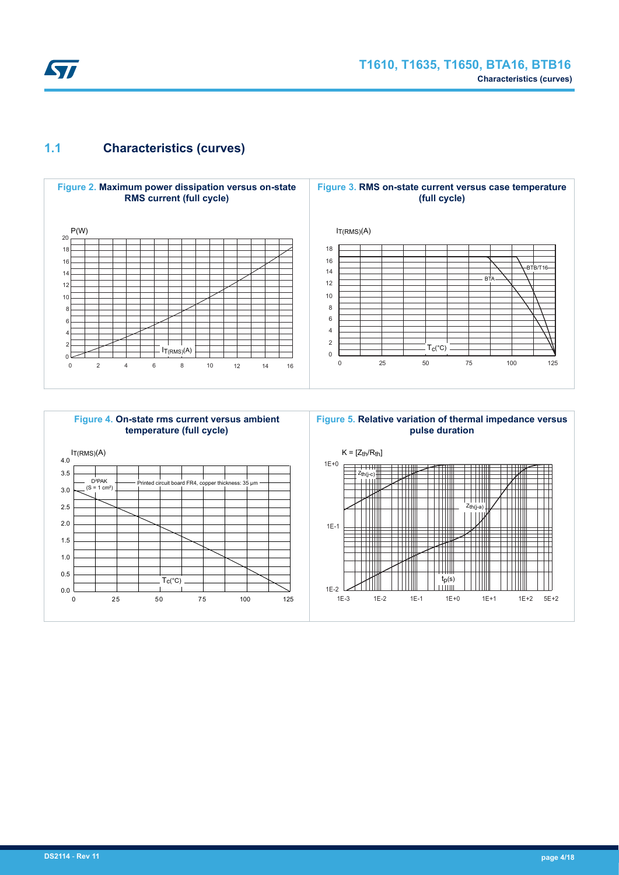

## **1.1 Characteristics (curves)**



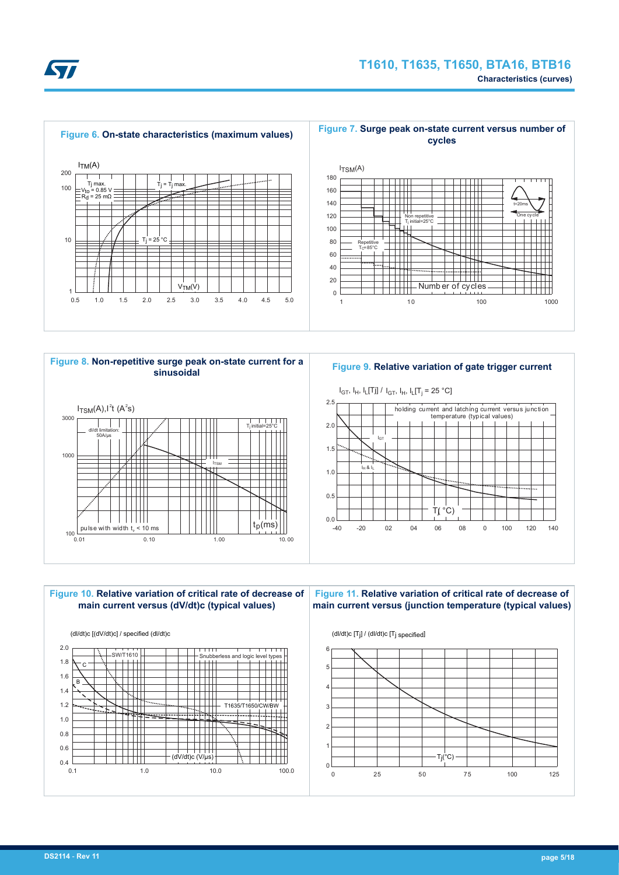





**Figure 9. Relative variation of gate trigger current**





**Figure 11. Relative variation of critical rate of decrease of main current versus (junction temperature (typical values)**

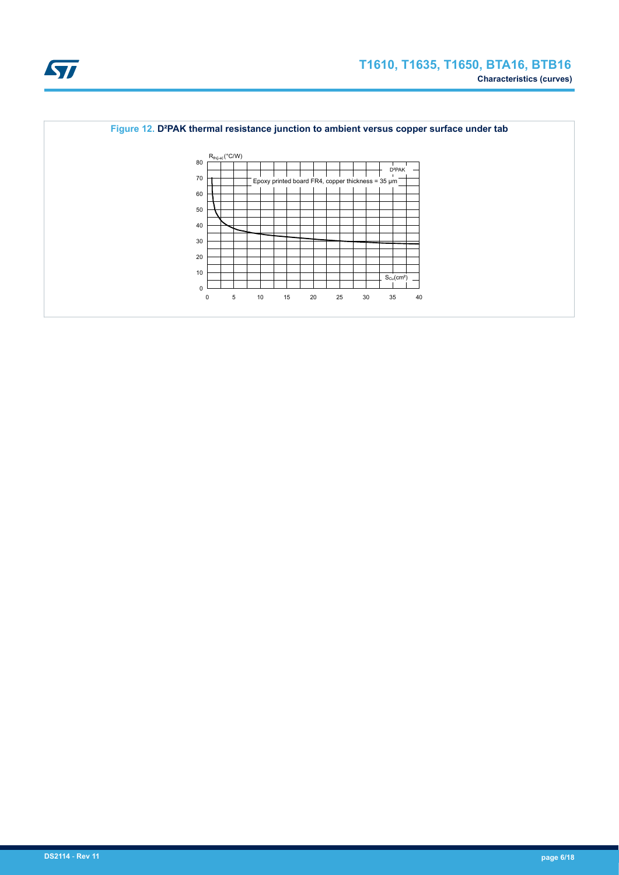

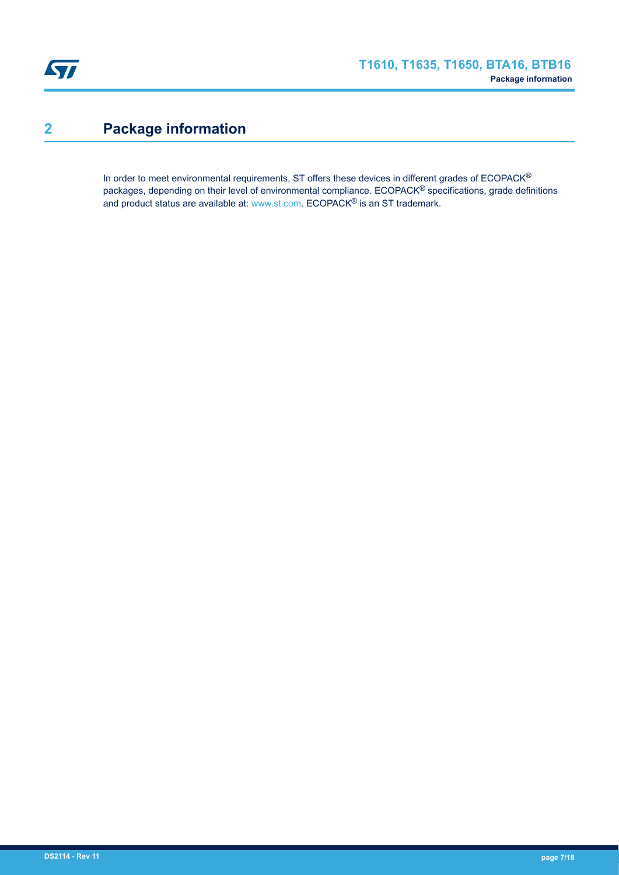## **2 Package information**

In order to meet environmental requirements, ST offers these devices in different grades of ECOPACK® packages, depending on their level of environmental compliance. ECOPACK® specifications, grade definitions and product status are available at: [www.st.com.](http://www.st.com) ECOPACK® is an ST trademark.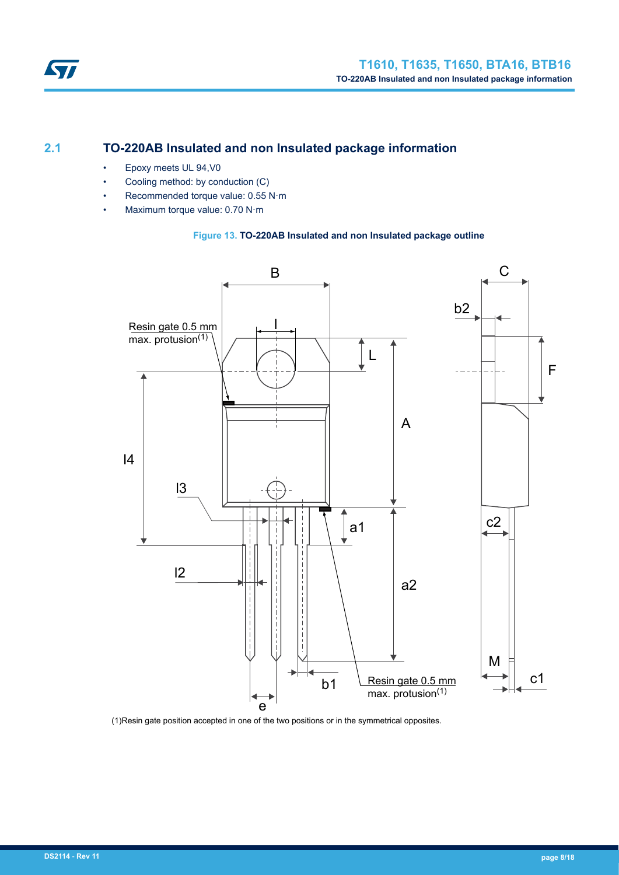

## **2.1 TO-220AB Insulated and non Insulated package information**

• Epoxy meets UL 94,V0

ST

- Cooling method: by conduction (C)
- Recommended torque value: 0.55 N·m
- Maximum torque value: 0.70 N·m

#### **Figure 13. TO-220AB Insulated and non Insulated package outline**



(1)Resin gate position accepted in one of the two positions or in the symmetrical opposites.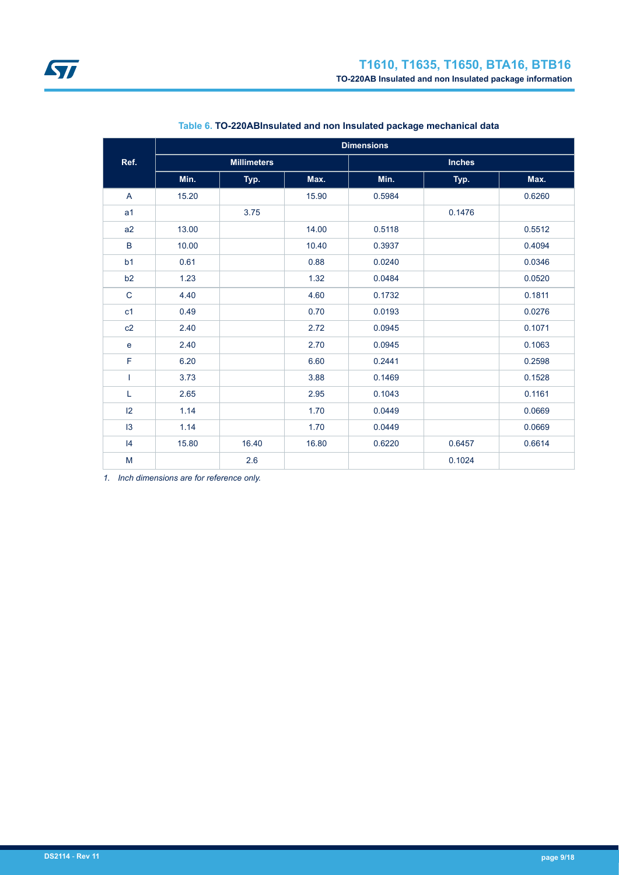|                | <b>Dimensions</b> |                    |       |        |               |        |  |  |  |
|----------------|-------------------|--------------------|-------|--------|---------------|--------|--|--|--|
| Ref.           |                   | <b>Millimeters</b> |       |        | <b>Inches</b> |        |  |  |  |
|                | Min.              | Typ.               | Max.  | Min.   | Typ.          | Max.   |  |  |  |
| A              | 15.20             |                    | 15.90 | 0.5984 |               | 0.6260 |  |  |  |
| a <sub>1</sub> |                   | 3.75               |       |        | 0.1476        |        |  |  |  |
| a2             | 13.00             |                    | 14.00 | 0.5118 |               | 0.5512 |  |  |  |
| B              | 10.00             |                    | 10.40 | 0.3937 |               | 0.4094 |  |  |  |
| b <sub>1</sub> | 0.61              |                    | 0.88  | 0.0240 |               | 0.0346 |  |  |  |
| b2             | 1.23              |                    | 1.32  | 0.0484 |               | 0.0520 |  |  |  |
| $\mathbf C$    | 4.40              |                    | 4.60  | 0.1732 |               | 0.1811 |  |  |  |
| c <sub>1</sub> | 0.49              |                    | 0.70  | 0.0193 |               | 0.0276 |  |  |  |
| c2             | 2.40              |                    | 2.72  | 0.0945 |               | 0.1071 |  |  |  |
| e              | 2.40              |                    | 2.70  | 0.0945 |               | 0.1063 |  |  |  |
| F              | 6.20              |                    | 6.60  | 0.2441 |               | 0.2598 |  |  |  |
| T              | 3.73              |                    | 3.88  | 0.1469 |               | 0.1528 |  |  |  |
| L              | 2.65              |                    | 2.95  | 0.1043 |               | 0.1161 |  |  |  |
| 12             | 1.14              |                    | 1.70  | 0.0449 |               | 0.0669 |  |  |  |
| 13             | 1.14              |                    | 1.70  | 0.0449 |               | 0.0669 |  |  |  |
| 4              | 15.80             | 16.40              | 16.80 | 0.6220 | 0.6457        | 0.6614 |  |  |  |
| M              |                   | 2.6                |       |        | 0.1024        |        |  |  |  |

#### **Table 6. TO-220ABInsulated and non Insulated package mechanical data**

*1. Inch dimensions are for reference only.*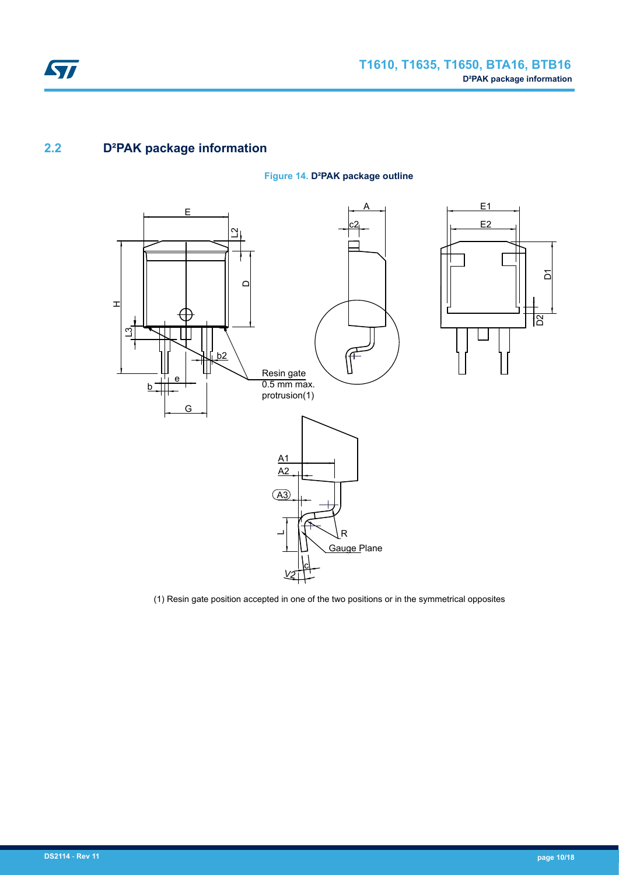

## **2.2 D²PAK package information**

#### **Figure 14. D²PAK package outline**



(1) Resin gate position accepted in one of the two positions or in the symmetrical opposites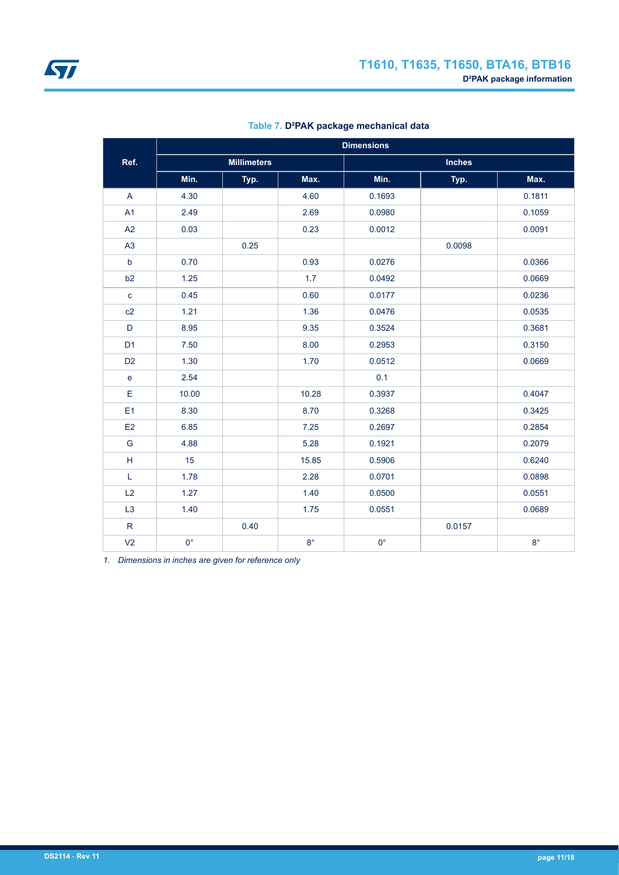|                |             | <b>Dimensions</b>  |             |             |               |             |  |  |  |
|----------------|-------------|--------------------|-------------|-------------|---------------|-------------|--|--|--|
| Ref.           |             | <b>Millimeters</b> |             |             | <b>Inches</b> |             |  |  |  |
|                | Min.        | Typ.               | Max.        | Min.        | Typ.          | Max.        |  |  |  |
| A              | 4.30        |                    | 4.60        | 0.1693      |               | 0.1811      |  |  |  |
| A1             | 2.49        |                    | 2.69        | 0.0980      |               | 0.1059      |  |  |  |
| A2             | 0.03        |                    | 0.23        | 0.0012      |               | 0.0091      |  |  |  |
| A3             |             | 0.25               |             |             | 0.0098        |             |  |  |  |
| $\mathbf b$    | 0.70        |                    | 0.93        | 0.0276      |               | 0.0366      |  |  |  |
| b2             | 1.25        |                    | 1.7         | 0.0492      |               | 0.0669      |  |  |  |
| $\mathbf c$    | 0.45        |                    | 0.60        | 0.0177      |               | 0.0236      |  |  |  |
| c2             | 1.21        |                    | 1.36        | 0.0476      |               | 0.0535      |  |  |  |
| $\mathsf D$    | 8.95        |                    | 9.35        | 0.3524      |               | 0.3681      |  |  |  |
| D <sub>1</sub> | 7.50        |                    | 8.00        | 0.2953      |               | 0.3150      |  |  |  |
| D <sub>2</sub> | 1.30        |                    | 1.70        | 0.0512      |               | 0.0669      |  |  |  |
| $\mathbf e$    | 2.54        |                    |             | 0.1         |               |             |  |  |  |
| Ε              | 10.00       |                    | 10.28       | 0.3937      |               | 0.4047      |  |  |  |
| E1             | 8.30        |                    | 8.70        | 0.3268      |               | 0.3425      |  |  |  |
| E <sub>2</sub> | 6.85        |                    | 7.25        | 0.2697      |               | 0.2854      |  |  |  |
| G              | 4.88        |                    | 5.28        | 0.1921      |               | 0.2079      |  |  |  |
| H              | 15          |                    | 15.85       | 0.5906      |               | 0.6240      |  |  |  |
| L              | 1.78        |                    | 2.28        | 0.0701      |               | 0.0898      |  |  |  |
| L2             | 1.27        |                    | 1.40        | 0.0500      |               | 0.0551      |  |  |  |
| L3             | 1.40        |                    | 1.75        | 0.0551      |               | 0.0689      |  |  |  |
| $\mathsf{R}$   |             | 0.40               |             |             | 0.0157        |             |  |  |  |
| V <sub>2</sub> | $0^{\circ}$ |                    | $8^{\circ}$ | $0^{\circ}$ |               | $8^{\circ}$ |  |  |  |

#### **Table 7. D²PAK package mechanical data**

*1. Dimensions in inches are given for reference only*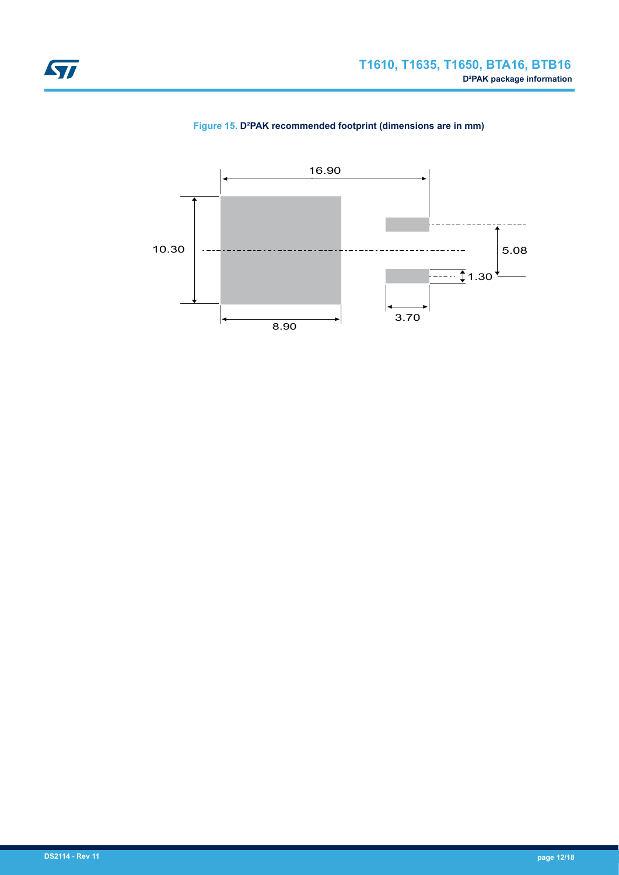

**Figure 15. D²PAK recommended footprint (dimensions are in mm)**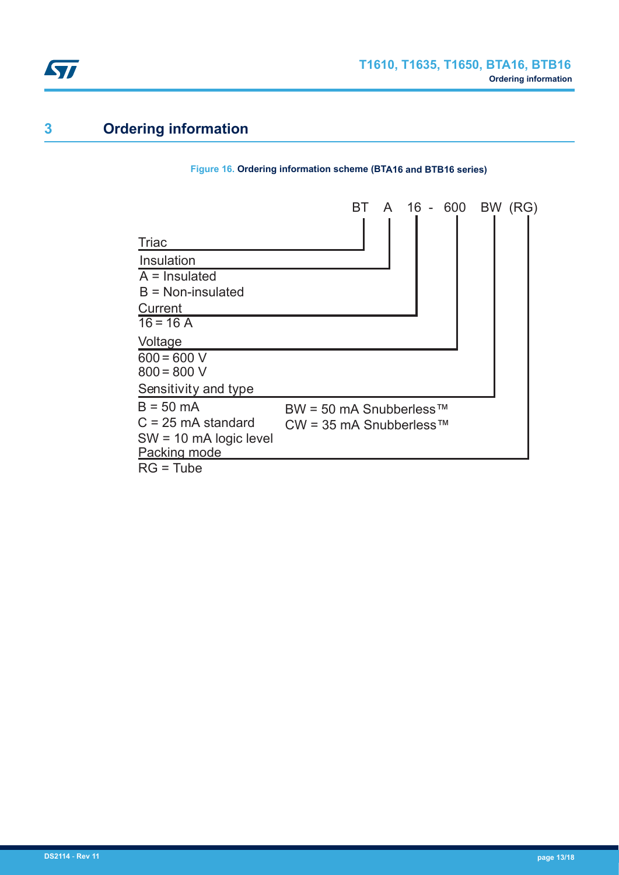

## **3 Ordering information**

#### **Figure 16. Ordering information scheme (BTA16 and BTB16 series)**

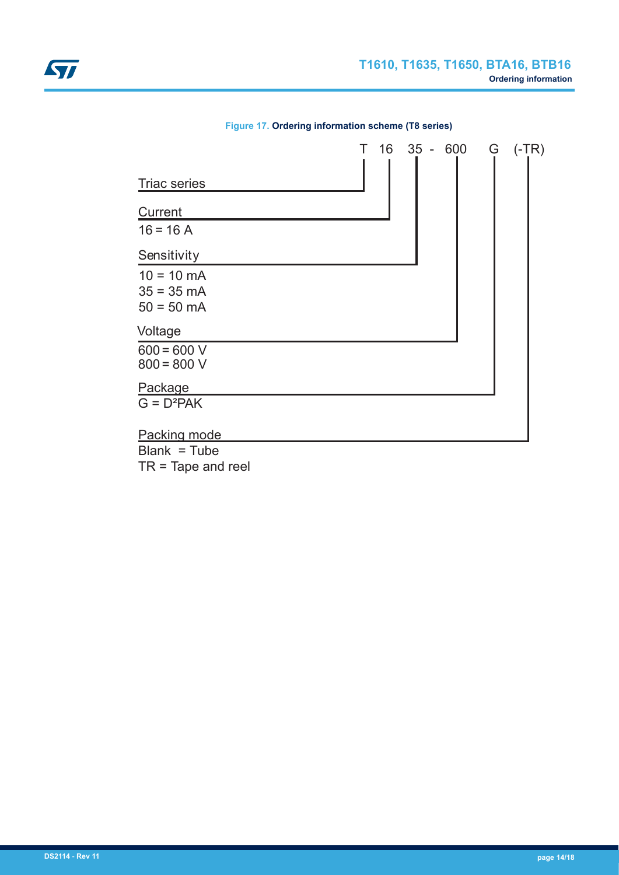| <b>Triac series</b>                                          | T 16 35 - 600 | G<br>$(-TR)$ |
|--------------------------------------------------------------|---------------|--------------|
| Current<br>$16 = 16 A$                                       |               |              |
| Sensitivity                                                  |               |              |
| $10 = 10 \text{ mA}$<br>$35 = 35 \text{ mA}$<br>$50 = 50$ mA |               |              |
| Voltage                                                      |               |              |
| $600 = 600 V$<br>$800 = 800 V$                               |               |              |
| Package                                                      |               |              |
| $G = D^2PAK$                                                 |               |              |
| Packing mode                                                 |               |              |
| $Blank = Tube$<br>-- -                                       |               |              |

**Figure 17. Ordering information scheme (T8 series)**

TR = Tape and reel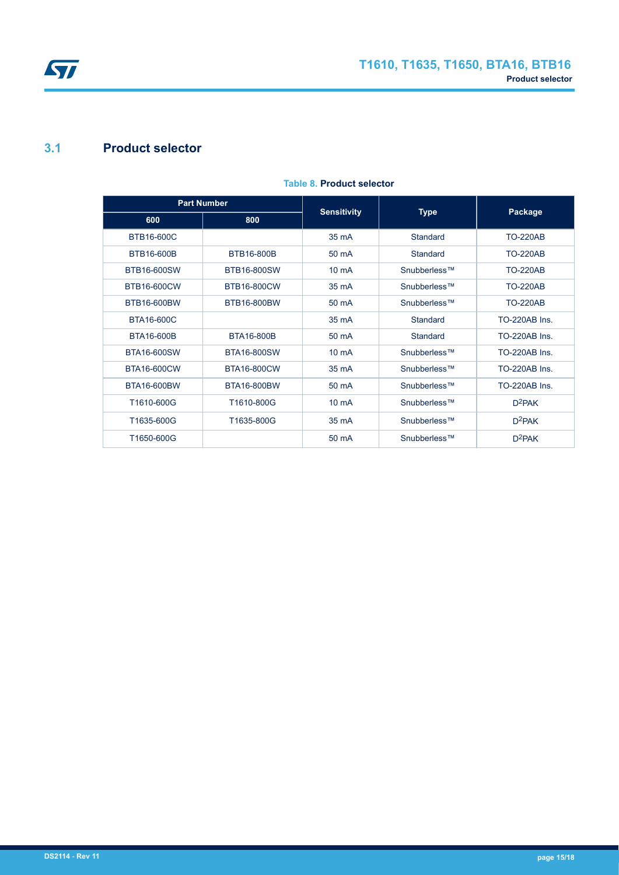

# ST

## **3.1 Product selector**

|                    | <b>Part Number</b> |                    |              |                      |
|--------------------|--------------------|--------------------|--------------|----------------------|
| 600                | 800                | <b>Sensitivity</b> | <b>Type</b>  | Package              |
| <b>BTB16-600C</b>  |                    | 35 mA              | Standard     | <b>TO-220AB</b>      |
| BTB16-600B         | BTB16-800B         | 50 mA              | Standard     | <b>TO-220AB</b>      |
| <b>BTB16-600SW</b> | <b>BTB16-800SW</b> | $10 \text{ mA}$    | Snubberless™ | <b>TO-220AB</b>      |
| BTB16-600CW        | BTB16-800CW        | 35 mA              | Snubberless™ | <b>TO-220AB</b>      |
| <b>BTB16-600BW</b> | BTB16-800BW        | 50 mA              | Snubberless™ | <b>TO-220AB</b>      |
| <b>BTA16-600C</b>  |                    | 35 mA              | Standard     | TO-220AB Ins.        |
| <b>BTA16-600B</b>  | <b>BTA16-800B</b>  | 50 mA              | Standard     | <b>TO-220AB Ins.</b> |
| <b>BTA16-600SW</b> | <b>BTA16-800SW</b> | $10 \text{ mA}$    | Snubberless™ | <b>TO-220AB Ins.</b> |
| BTA16-600CW        | BTA16-800CW        | 35 mA              | Snubberless™ | TO-220AB Ins         |
| <b>BTA16-600BW</b> | <b>BTA16-800BW</b> | 50 mA              | Snubberless™ | TO-220AB Ins.        |
| T1610-600G         | T1610-800G         | $10 \text{ mA}$    | Snubberless™ | $D^2PAK$             |
| T1635-600G         | T1635-800G         | 35 mA              | Snubberless™ | $D^2PAK$             |
| T1650-600G         |                    | 50 mA              | Snubberless™ | $D^2$ PAK            |

#### **Table 8. Product selector**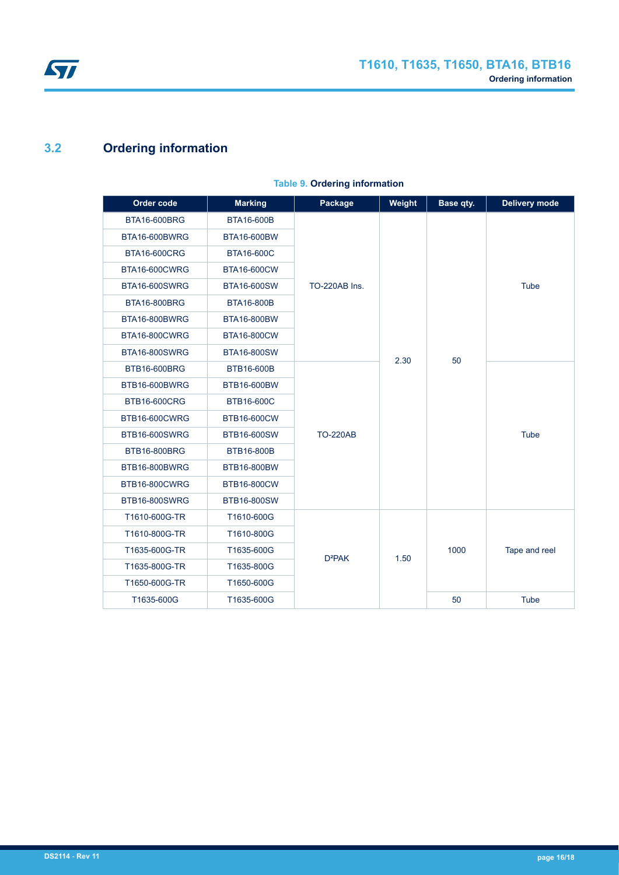

## **3.2 Ordering information**

| Order code           | <b>Marking</b>     | Package              | Weight | Base qty. | <b>Delivery mode</b> |  |             |
|----------------------|--------------------|----------------------|--------|-----------|----------------------|--|-------------|
| BTA16-600BRG         | <b>BTA16-600B</b>  |                      |        |           |                      |  |             |
| BTA16-600BWRG        | BTA16-600BW        |                      |        |           |                      |  |             |
| <b>BTA16-600CRG</b>  | <b>BTA16-600C</b>  |                      |        |           |                      |  |             |
| BTA16-600CWRG        | <b>BTA16-600CW</b> |                      |        |           |                      |  |             |
| <b>BTA16-600SWRG</b> | <b>BTA16-600SW</b> | <b>TO-220AB Ins.</b> |        |           | Tube                 |  |             |
| <b>BTA16-800BRG</b>  | <b>BTA16-800B</b>  |                      |        |           |                      |  |             |
| BTA16-800BWRG        | <b>BTA16-800BW</b> |                      |        |           |                      |  |             |
| BTA16-800CWRG        | <b>BTA16-800CW</b> |                      |        |           |                      |  |             |
| <b>BTA16-800SWRG</b> | <b>BTA16-800SW</b> |                      | 2.30   | 50        |                      |  |             |
| <b>BTB16-600BRG</b>  | BTB16-600B         |                      |        |           |                      |  |             |
| BTB16-600BWRG        | BTB16-600BW        |                      |        |           |                      |  |             |
| <b>BTB16-600CRG</b>  | <b>BTB16-600C</b>  |                      |        |           |                      |  |             |
| BTB16-600CWRG        | BTB16-600CW        |                      |        |           |                      |  |             |
| <b>BTB16-600SWRG</b> | BTB16-600SW        | <b>TO-220AB</b>      |        |           |                      |  | <b>Tube</b> |
| <b>BTB16-800BRG</b>  | BTB16-800B         |                      |        |           |                      |  |             |
| BTB16-800BWRG        | BTB16-800BW        |                      |        |           |                      |  |             |
| BTB16-800CWRG        | <b>BTB16-800CW</b> |                      |        |           |                      |  |             |
| <b>BTB16-800SWRG</b> | <b>BTB16-800SW</b> |                      |        |           |                      |  |             |
| T1610-600G-TR        | T1610-600G         |                      |        |           |                      |  |             |
| T1610-800G-TR        | T1610-800G         |                      |        |           |                      |  |             |
| T1635-600G-TR        | T1635-600G         | D <sup>2</sup> PAK   | 1.50   | 1000      | Tape and reel        |  |             |
| T1635-800G-TR        | T1635-800G         |                      |        |           |                      |  |             |
| T1650-600G-TR        | T1650-600G         |                      |        |           |                      |  |             |
| T1635-600G           | T1635-600G         |                      |        | 50        | <b>Tube</b>          |  |             |

#### **Table 9. Ordering information**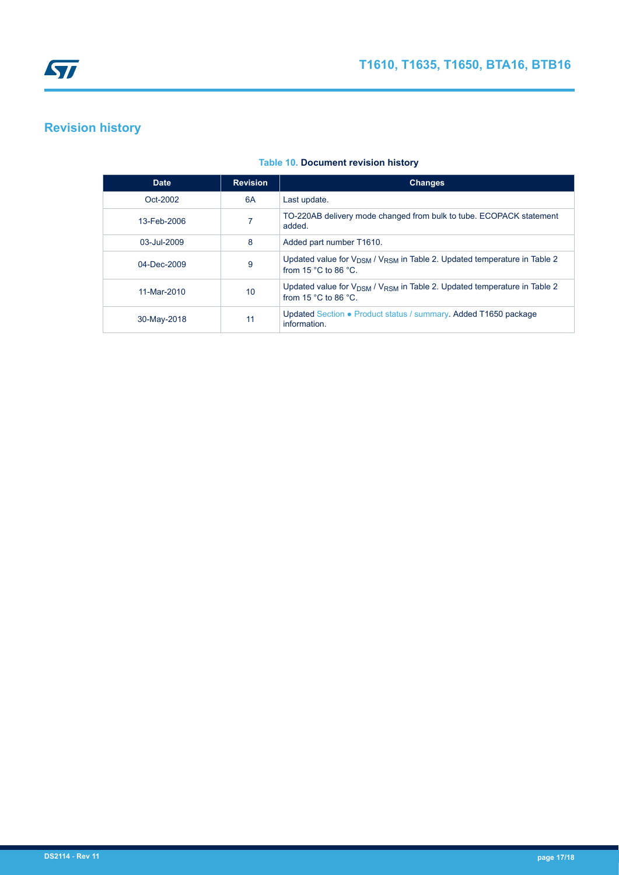## **Revision history**

| <b>Date</b> | <b>Revision</b> | <b>Changes</b>                                                                                                                              |
|-------------|-----------------|---------------------------------------------------------------------------------------------------------------------------------------------|
| Oct-2002    | 6A              | Last update.                                                                                                                                |
| 13-Feb-2006 |                 | TO-220AB delivery mode changed from bulk to tube. ECOPACK statement<br>added.                                                               |
| 03-Jul-2009 | 8               | Added part number T1610.                                                                                                                    |
| 04-Dec-2009 | 9               | Updated value for V <sub>DSM</sub> / V <sub>RSM</sub> in Table 2. Updated temperature in Table 2<br>from $15 \degree C$ to 86 $\degree C$   |
| 11-Mar-2010 | 10              | Updated value for V <sub>DSM</sub> / V <sub>RSM</sub> in Table 2. Updated temperature in Table 2<br>from 15 $^{\circ}$ C to 86 $^{\circ}$ C |
| 30-May-2018 | 11              | Updated Section • Product status / summary. Added T1650 package<br>information.                                                             |

#### **Table 10. Document revision history**